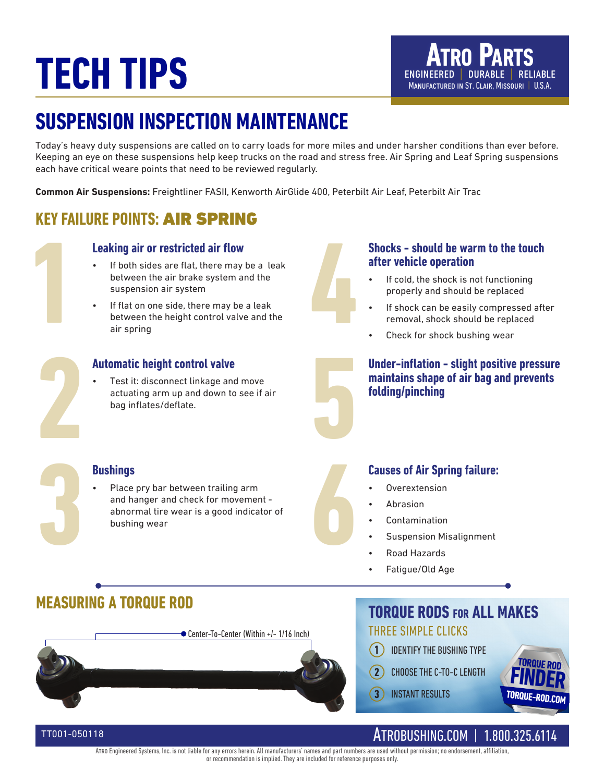# **TECH TIPS ENGINEERED DURABLE RELIABLE**

# **SUSPENSION INSPECTION MAINTENANCE**

Today's heavy duty suspensions are called on to carry loads for more miles and under harsher conditions than ever before. Keeping an eye on these suspensions help keep trucks on the road and stress free. Air Spring and Leaf Spring suspensions each have critical weare points that need to be reviewed regularly.

**Common Air Suspensions:** Freightliner FASII, Kenworth AirGlide 400, Peterbilt Air Leaf, Peterbilt Air Trac

## **KEY FAILURE POINTS:** AIR SPRING

#### **Leaking air or restricted air flow**

- **1 4** • If both sides are flat, there may be a leak between the air brake system and the suspension air system
	- If flat on one side, there may be a leak between the height control valve and the air spring

### **Automatic height control valve**

**2 5** • Test it: disconnect linkage and move actuating arm up and down to see if air bag inflates/deflate.



#### **Shocks - should be warm to the touch after vehicle operation**

- If cold, the shock is not functioning properly and should be replaced
- If shock can be easily compressed after removal, shock should be replaced
- Check for shock bushing wear

#### **Under-inflation - slight positive pressure maintains shape of air bag and prevents folding/pinching**

### **Bushings**

**1843 • Place pry bar between trailing arm**<br>and hanger and check for movement -<br>abnormal tire wear is a good indicator of<br>bushing wear Place pry bar between trailing arm and hanger and check for movement abnormal tire wear is a good indicator of bushing wear

### **Causes of Air Spring failure:**

- Overextension
- Abrasion
- Contamination
- Suspension Misalignment
- Road Hazards
- Fatigue/Old Age

## **MEASURING A TORQUE ROD**

TT001-050118



### **TORQUE RODS for ALL MAKES** THREE SIMPLE CLICKS

- IDENTIFY THE BUSHING TYPE **1**
- CHOOSE THE C-TO-C LENGTH **2**

INSTANT RESULTS **3**



## ATROBUSHING.COM | 1.800.325.6114

Atro Engineered Systems, Inc. is not liable for any errors herein. All manufacturers' names and part numbers are used without permission; no endorsement, affiliation, or recommendation is implied. They are included for reference purposes only.